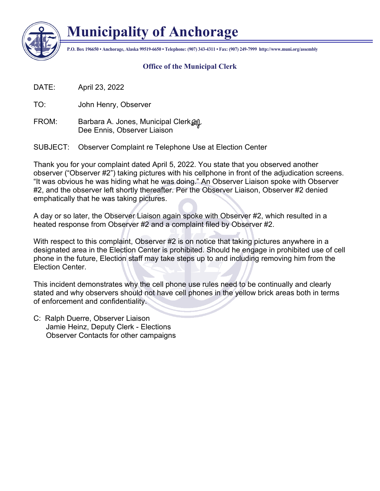

## **Municipality of Anchorage**

**P.O. Box 196650 • Anchorage, Alaska 99519-6650 • Telephone: (907) 343-4311 • Fax: (907) 249-7999 http://www.muni.org/assembly**

## **Office of the Municipal Clerk**

DATE: April 23, 2022

TO: John Henry, Observer

FROM: Barbara A. Jones, Municipal Clerk  $\mathcal{Q}$ Dee Ennis, Observer Liaison

SUBJECT: Observer Complaint re Telephone Use at Election Center

Thank you for your complaint dated April 5, 2022. You state that you observed another observer ("Observer #2") taking pictures with his cellphone in front of the adjudication screens. "It was obvious he was hiding what he was doing." An Observer Liaison spoke with Observer #2, and the observer left shortly thereafter. Per the Observer Liaison, Observer #2 denied emphatically that he was taking pictures.

A day or so later, the Observer Liaison again spoke with Observer #2, which resulted in a heated response from Observer #2 and a complaint filed by Observer #2.

With respect to this complaint, Observer #2 is on notice that taking pictures anywhere in a designated area in the Election Center is prohibited. Should he engage in prohibited use of cell phone in the future, Election staff may take steps up to and including removing him from the Election Center.

This incident demonstrates why the cell phone use rules need to be continually and clearly stated and why observers should not have cell phones in the yellow brick areas both in terms of enforcement and confidentiality.

C: Ralph Duerre, Observer Liaison Jamie Heinz, Deputy Clerk - Elections Observer Contacts for other campaigns